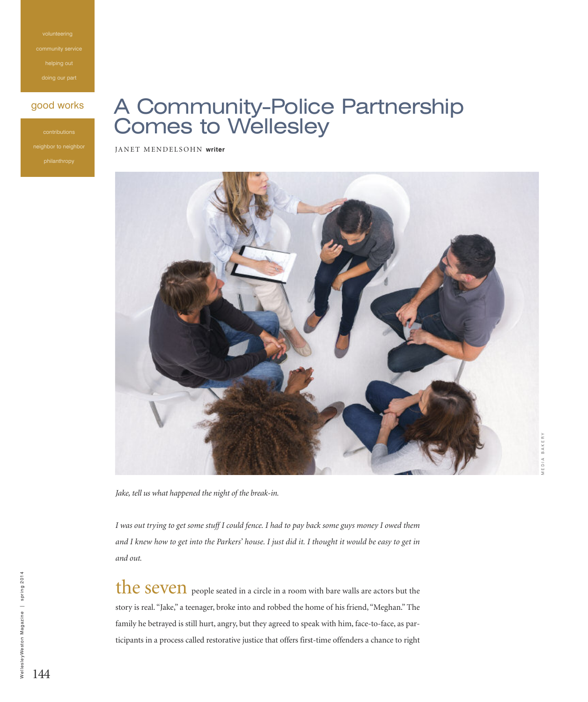ommunity s helping out

#### good works

## A Community-Police Partnership Comes to Wellesley

JANET MENDELSOHN writer



*Jake, tell us what happened the night of the break-in.*

I was out trying to get some stuff I could fence. I had to pay back some guys money I owed them and I knew how to get into the Parkers' house. I just did it. I thought it would be easy to get in *and out.*

the seven people seated in a circle in a room with bare walls are actors but the story is real. "Jake," a teenager, broke into and robbed the home of his friend, "Meghan." The family he betrayed is still hurt, angry, but they agreed to speak with him, face-to-face, as participants in a process called restorative justice that offers first-time offenders a chance to right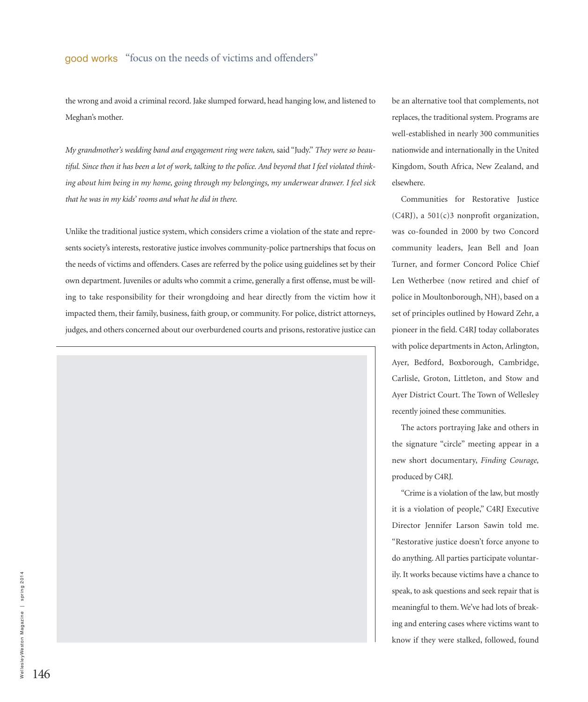the wrong and avoid a criminal record. Jake slumped forward, head hanging low, and listened to Meghan's mother.

*My grandmother's wedding band and engagement ring were taken,* said "Judy." *They were so beau*tiful. Since then it has been a lot of work, talking to the police. And beyond that I feel violated think*ing about him being in my home, going through my belongings, my underwear drawer. I feel sick that he was in my kids' rooms and what he did in there.*

Unlike the traditional justice system, which considers crime a violation of the state and represents society's interests, restorative justice involves community-police partnerships that focus on the needs of victims and offenders. Cases are referred by the police using guidelines set by their own department. Juveniles or adults who commit a crime, generally a first offense, must be willing to take responsibility for their wrongdoing and hear directly from the victim how it impacted them, their family, business, faith group, or community. For police, district attorneys, judges, and others concerned about our overburdened courts and prisons, restorative justice can



be an alternative tool that complements, not replaces, the traditional system. Programs are well-established in nearly 300 communities nationwide and internationally in the United Kingdom, South Africa, New Zealand, and elsewhere.

Communities for Restorative Justice (C4RJ), a 501(c)3 nonprofit organization, was co-founded in 2000 by two Concord community leaders, Jean Bell and Joan Turner, and former Concord Police Chief Len Wetherbee (now retired and chief of police in Moultonborough, NH), based on a set of principles outlined by Howard Zehr, a pioneer in the field. C4RJ today collaborates with police departments in Acton, Arlington, Ayer, Bedford, Boxborough, Cambridge, Carlisle, Groton, Littleton, and Stow and Ayer District Court. The Town of Wellesley recently joined these communities.

The actors portraying Jake and others in the signature "circle" meeting appear in a new short documentary, *Finding Courage,* produced by C4RJ.

"Crime is a violation of the law, but mostly it is a violation of people," C4RJ Executive Director Jennifer Larson Sawin told me. "Restorative justice doesn't force anyone to do anything. All parties participate voluntarily. It works because victims have a chance to speak, to ask questions and seek repair that is meaningful to them. We've had lots of breaking and entering cases where victims want to know if they were stalked, followed, found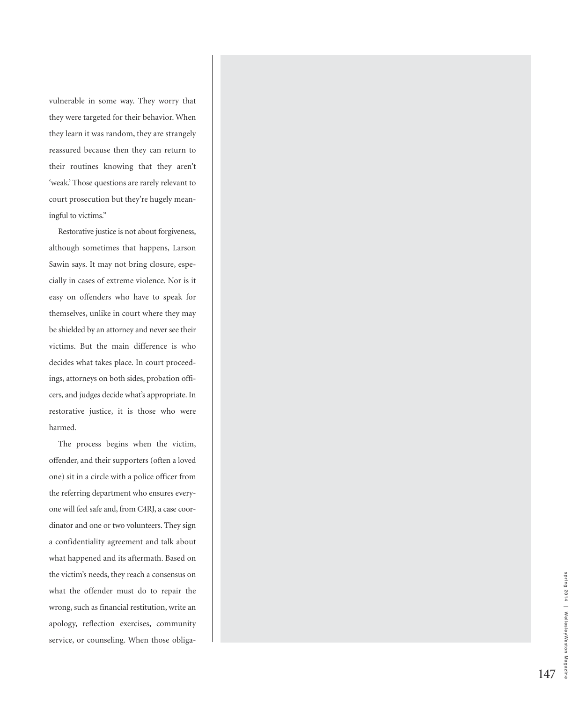vulnerable in some way. They worry that they were targeted for their behavior. When they learn it was random, they are strangely reassured because then they can return to their routines knowing that they aren't 'weak.' Those questions are rarely relevant to court prosecution but they're hugely meaningful to victims."

Restorative justice is not about forgiveness, although sometimes that happens, Larson Sawin says. It may not bring closure, especially in cases of extreme violence. Nor is it easy on offenders who have to speak for themselves, unlike in court where they may be shielded by an attorney and never see their victims. But the main difference is who decides what takes place. In court proceedings, attorneys on both sides, probation officers, and judges decide what's appropriate. In restorative justice, it is those who were harmed.

The process begins when the victim, offender, and their supporters (often a loved one) sit in a circle with a police officer from the referring department who ensures everyone will feel safe and, from C4RJ, a case coordinator and one or two volunteers. They sign a confidentiality agreement and talk about what happened and its aftermath. Based on the victim's needs, they reach a consensus on what the offender must do to repair the wrong, such as financial restitution, write an apology, reflection exercises, community service, or counseling. When those obliga-

1 4 7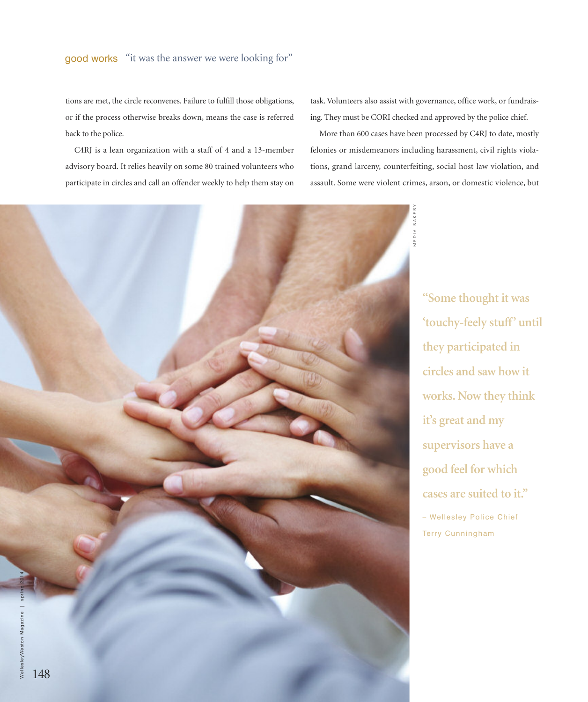tions are met, the circle reconvenes. Failure to fulfill those obligations, or if the process otherwise breaks down, means the case is referred back to the police.

C4RJ is a lean organization with a staff of 4 and a 13-member advisory board. It relies heavily on some 80 trained volunteers who participate in circles and call an offender weekly to help them stay on task.Volunteers also assist with governance, office work, or fundraising. They must be CORI checked and approved by the police chief.

More than 600 cases have been processed by C4RJ to date, mostly felonies or misdemeanors including harassment, civil rights violations, grand larceny, counterfeiting, social host law violation, and assault. Some were violent crimes, arson, or domestic violence, but



**"Some thought it was 'touchy-feely stuff' until they participated in circles and saw how it works. Now they think it's great and my supervisors have a good feel for which cases are suited to it."** – Wellesley Police Chief Terry Cunningham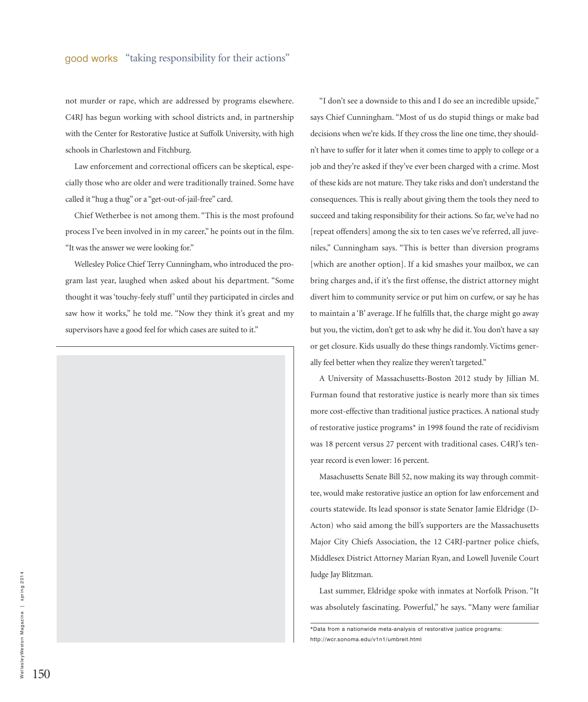not murder or rape, which are addressed by programs elsewhere. C4RJ has begun working with school districts and, in partnership with the Center for Restorative Justice at Suffolk University, with high schools in Charlestown and Fitchburg.

Law enforcement and correctional officers can be skeptical, especially those who are older and were traditionally trained. Some have called it "hug a thug" or a "get-out-of-jail-free" card.

Chief Wetherbee is not among them. "This is the most profound process I've been involved in in my career," he points out in the film. "It was the answer we were looking for."

Wellesley Police Chief Terry Cunningham, who introduced the program last year, laughed when asked about his department. "Some thought it was'touchy-feely stuff' until they participated in circles and saw how it works," he told me. "Now they think it's great and my supervisors have a good feel for which cases are suited to it."



"I don't see a downside to this and I do see an incredible upside," says Chief Cunningham. "Most of us do stupid things or make bad decisions when we're kids. If they cross the line one time, they shouldn't have to suffer for it later when it comes time to apply to college or a job and they're asked if they've ever been charged with a crime. Most of these kids are not mature. They take risks and don't understand the consequences. This is really about giving them the tools they need to succeed and taking responsibility for their actions. So far, we've had no [repeat offenders] among the six to ten cases we've referred, all juveniles," Cunningham says. "This is better than diversion programs [which are another option]. If a kid smashes your mailbox, we can bring charges and, if it's the first offense, the district attorney might divert him to community service or put him on curfew, or say he has to maintain a 'B' average. If he fulfills that, the charge might go away but you, the victim, don't get to ask why he did it. You don't have a say or get closure. Kids usually do these things randomly.Victims generally feel better when they realize they weren't targeted."

A University of Massachusetts-Boston 2012 study by Jillian M. Furman found that restorative justice is nearly more than six times more cost-effective than traditional justice practices. A national study of restorative justice programs\* in 1998 found the rate of recidivism was 18 percent versus 27 percent with traditional cases. C4RJ's tenyear record is even lower: 16 percent.

Masachusetts Senate Bill 52, now making its way through committee, would make restorative justice an option for law enforcement and courts statewide. Its lead sponsor is state Senator Jamie Eldridge (D-Acton) who said among the bill's supporters are the Massachusetts Major City Chiefs Association, the 12 C4RJ-partner police chiefs, Middlesex District Attorney Marian Ryan, and Lowell Juvenile Court Judge Jay Blitzman.

Last summer, Eldridge spoke with inmates at Norfolk Prison. "It was absolutely fascinating. Powerful," he says. "Many were familiar

<sup>\*</sup>Data from a nationwide meta-analysis of restorative justice programs: http://wcr.sonoma.edu/v1n1/umbreit.html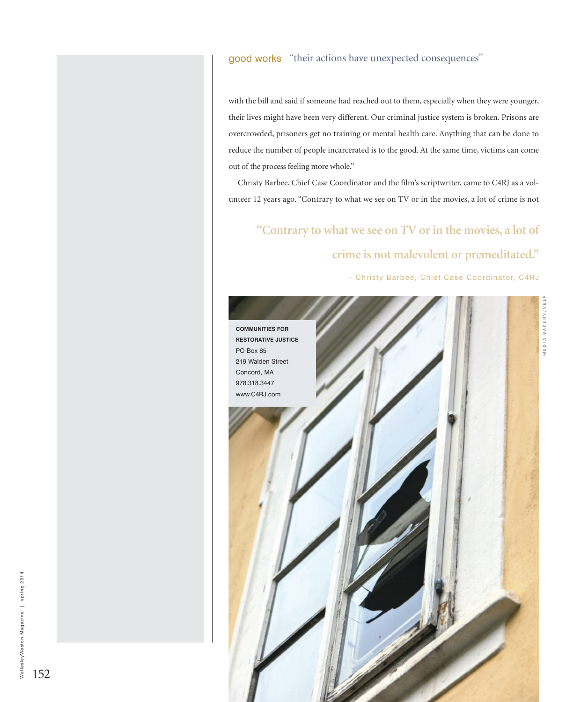#### good works "their actions have unexpected consequences"

with the bill and said if someone had reached out to them, especially when they were younger, their lives might have been very different. Our criminal justice system is broken. Prisons are overcrowded, prisoners get no training or mental health care. Anything that can be done to reduce the number of people incarcerated is to the good. At the same time, victims can come out of the process feeling more whole."

Christy Barbee, Chief Case Coordinator and the film's scriptwriter, came to C4RJ as a volunteer 12 years ago. "Contrary to what we see on TV or in the movies, a lot of crime is not

# **"Contrary to what we see on TV or in the movies, a lot of**

### **crime is not malevolent or premeditated."**

– Christy Barbee, Chief Case Coordinator, C4RJ



152